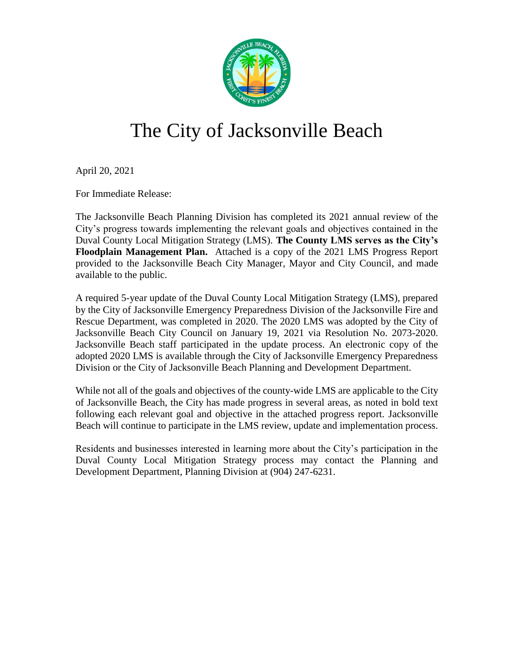

# The City of Jacksonville Beach

April 20, 2021

For Immediate Release:

The Jacksonville Beach Planning Division has completed its 2021 annual review of the City's progress towards implementing the relevant goals and objectives contained in the Duval County Local Mitigation Strategy (LMS). **The County LMS serves as the City's Floodplain Management Plan.** Attached is a copy of the 2021 LMS Progress Report provided to the Jacksonville Beach City Manager, Mayor and City Council, and made available to the public.

A required 5-year update of the Duval County Local Mitigation Strategy (LMS), prepared by the City of Jacksonville Emergency Preparedness Division of the Jacksonville Fire and Rescue Department, was completed in 2020. The 2020 LMS was adopted by the City of Jacksonville Beach City Council on January 19, 2021 via Resolution No. 2073-2020. Jacksonville Beach staff participated in the update process. An electronic copy of the adopted 2020 LMS is available through the City of Jacksonville Emergency Preparedness Division or the City of Jacksonville Beach Planning and Development Department.

While not all of the goals and objectives of the county-wide LMS are applicable to the City of Jacksonville Beach, the City has made progress in several areas, as noted in bold text following each relevant goal and objective in the attached progress report. Jacksonville Beach will continue to participate in the LMS review, update and implementation process.

Residents and businesses interested in learning more about the City's participation in the Duval County Local Mitigation Strategy process may contact the Planning and Development Department, Planning Division at (904) 247-6231.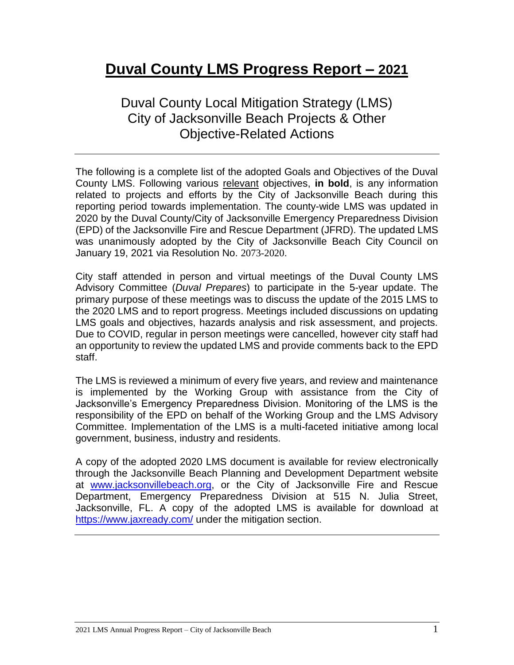# **Duval County LMS Progress Report – 2021**

Duval County Local Mitigation Strategy (LMS) City of Jacksonville Beach Projects & Other Objective-Related Actions

The following is a complete list of the adopted Goals and Objectives of the Duval County LMS. Following various relevant objectives, **in bold**, is any information related to projects and efforts by the City of Jacksonville Beach during this reporting period towards implementation. The county-wide LMS was updated in 2020 by the Duval County/City of Jacksonville Emergency Preparedness Division (EPD) of the Jacksonville Fire and Rescue Department (JFRD). The updated LMS was unanimously adopted by the City of Jacksonville Beach City Council on January 19, 2021 via Resolution No. 2073-2020.

City staff attended in person and virtual meetings of the Duval County LMS Advisory Committee (*Duval Prepares*) to participate in the 5-year update. The primary purpose of these meetings was to discuss the update of the 2015 LMS to the 2020 LMS and to report progress. Meetings included discussions on updating LMS goals and objectives, hazards analysis and risk assessment, and projects. Due to COVID, regular in person meetings were cancelled, however city staff had an opportunity to review the updated LMS and provide comments back to the EPD staff.

The LMS is reviewed a minimum of every five years, and review and maintenance is implemented by the Working Group with assistance from the City of Jacksonville's Emergency Preparedness Division. Monitoring of the LMS is the responsibility of the EPD on behalf of the Working Group and the LMS Advisory Committee. Implementation of the LMS is a multi-faceted initiative among local government, business, industry and residents.

A copy of the adopted 2020 LMS document is available for review electronically through the Jacksonville Beach Planning and Development Department website at [www.jacksonvillebeach.org,](http://www.jacksonvillebeach.org/) or the City of Jacksonville Fire and Rescue Department, Emergency Preparedness Division at 515 N. Julia Street, Jacksonville, FL. A copy of the adopted LMS is available for download at <https://www.jaxready.com/> under the mitigation section.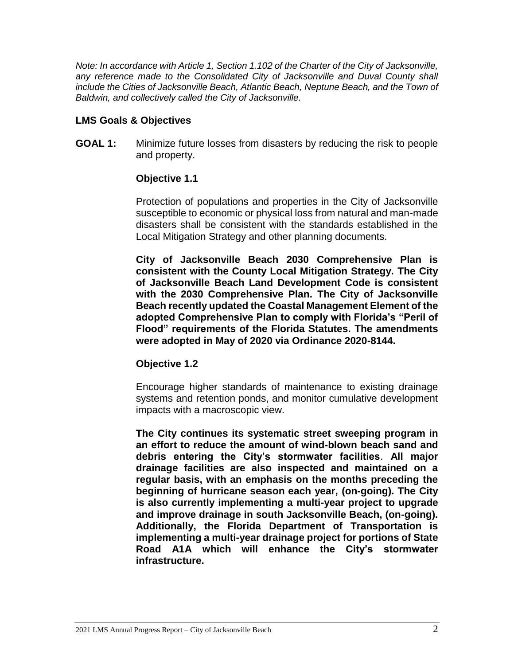*Note: In accordance with Article 1, Section 1.102 of the Charter of the City of Jacksonville,*  any reference made to the Consolidated City of Jacksonville and Duval County shall *include the Cities of Jacksonville Beach, Atlantic Beach, Neptune Beach, and the Town of Baldwin, and collectively called the City of Jacksonville.* 

# **LMS Goals & Objectives**

**GOAL 1:** Minimize future losses from disasters by reducing the risk to people and property.

# **Objective 1.1**

Protection of populations and properties in the City of Jacksonville susceptible to economic or physical loss from natural and man-made disasters shall be consistent with the standards established in the Local Mitigation Strategy and other planning documents.

**City of Jacksonville Beach 2030 Comprehensive Plan is consistent with the County Local Mitigation Strategy. The City of Jacksonville Beach Land Development Code is consistent with the 2030 Comprehensive Plan. The City of Jacksonville Beach recently updated the Coastal Management Element of the adopted Comprehensive Plan to comply with Florida's "Peril of Flood" requirements of the Florida Statutes. The amendments were adopted in May of 2020 via Ordinance 2020-8144.**

# **Objective 1.2**

Encourage higher standards of maintenance to existing drainage systems and retention ponds, and monitor cumulative development impacts with a macroscopic view.

**The City continues its systematic street sweeping program in an effort to reduce the amount of wind-blown beach sand and debris entering the City's stormwater facilities**. **All major drainage facilities are also inspected and maintained on a regular basis, with an emphasis on the months preceding the beginning of hurricane season each year, (on-going). The City is also currently implementing a multi-year project to upgrade and improve drainage in south Jacksonville Beach, (on-going). Additionally, the Florida Department of Transportation is implementing a multi-year drainage project for portions of State Road A1A which will enhance the City's stormwater infrastructure.**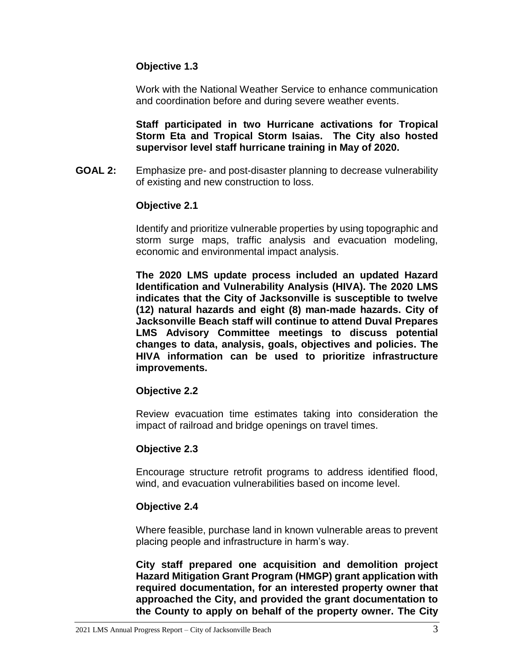# **Objective 1.3**

Work with the National Weather Service to enhance communication and coordination before and during severe weather events.

**Staff participated in two Hurricane activations for Tropical Storm Eta and Tropical Storm Isaias. The City also hosted supervisor level staff hurricane training in May of 2020.**

**GOAL 2:** Emphasize pre- and post-disaster planning to decrease vulnerability of existing and new construction to loss.

# **Objective 2.1**

Identify and prioritize vulnerable properties by using topographic and storm surge maps, traffic analysis and evacuation modeling, economic and environmental impact analysis.

**The 2020 LMS update process included an updated Hazard Identification and Vulnerability Analysis (HIVA). The 2020 LMS indicates that the City of Jacksonville is susceptible to twelve (12) natural hazards and eight (8) man-made hazards. City of Jacksonville Beach staff will continue to attend Duval Prepares LMS Advisory Committee meetings to discuss potential changes to data, analysis, goals, objectives and policies. The HIVA information can be used to prioritize infrastructure improvements.**

# **Objective 2.2**

Review evacuation time estimates taking into consideration the impact of railroad and bridge openings on travel times.

# **Objective 2.3**

Encourage structure retrofit programs to address identified flood, wind, and evacuation vulnerabilities based on income level.

# **Objective 2.4**

Where feasible, purchase land in known vulnerable areas to prevent placing people and infrastructure in harm's way.

**City staff prepared one acquisition and demolition project Hazard Mitigation Grant Program (HMGP) grant application with required documentation, for an interested property owner that approached the City, and provided the grant documentation to the County to apply on behalf of the property owner. The City**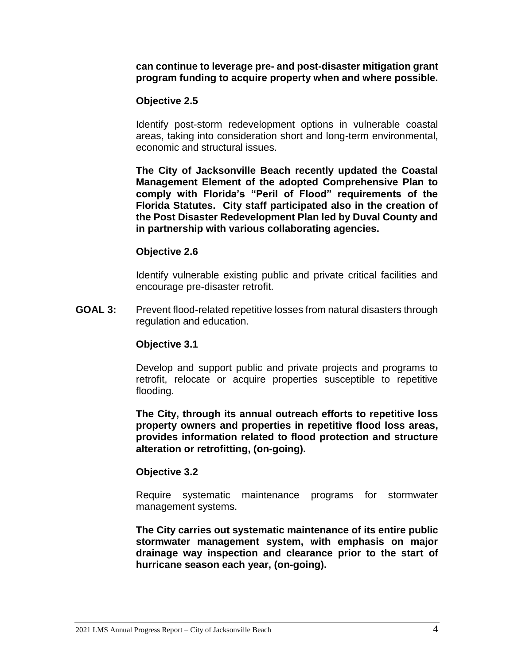**can continue to leverage pre- and post-disaster mitigation grant program funding to acquire property when and where possible.** 

# **Objective 2.5**

Identify post-storm redevelopment options in vulnerable coastal areas, taking into consideration short and long-term environmental, economic and structural issues.

**The City of Jacksonville Beach recently updated the Coastal Management Element of the adopted Comprehensive Plan to comply with Florida's "Peril of Flood" requirements of the Florida Statutes. City staff participated also in the creation of the Post Disaster Redevelopment Plan led by Duval County and in partnership with various collaborating agencies.** 

# **Objective 2.6**

Identify vulnerable existing public and private critical facilities and encourage pre-disaster retrofit.

**GOAL 3:** Prevent flood-related repetitive losses from natural disasters through regulation and education*.*

# **Objective 3.1**

Develop and support public and private projects and programs to retrofit, relocate or acquire properties susceptible to repetitive flooding.

**The City, through its annual outreach efforts to repetitive loss property owners and properties in repetitive flood loss areas, provides information related to flood protection and structure alteration or retrofitting, (on-going).**

# **Objective 3.2**

Require systematic maintenance programs for stormwater management systems.

**The City carries out systematic maintenance of its entire public stormwater management system, with emphasis on major drainage way inspection and clearance prior to the start of hurricane season each year, (on-going).**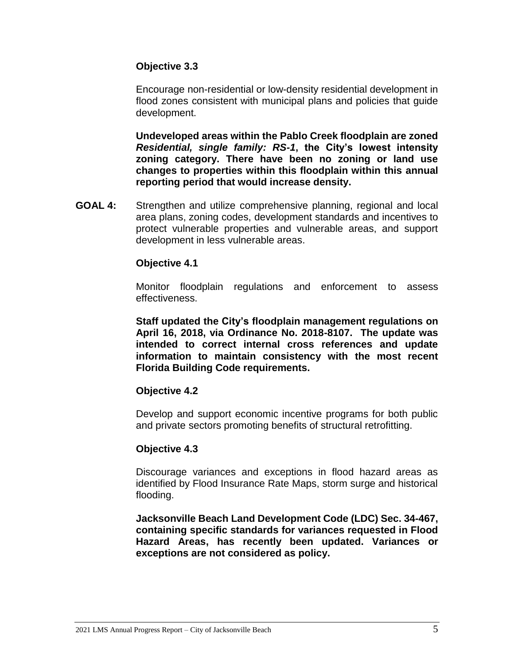# **Objective 3.3**

Encourage non-residential or low-density residential development in flood zones consistent with municipal plans and policies that guide development.

**Undeveloped areas within the Pablo Creek floodplain are zoned**  *Residential, single family: RS-1***, the City's lowest intensity zoning category. There have been no zoning or land use changes to properties within this floodplain within this annual reporting period that would increase density.**

**GOAL 4:** Strengthen and utilize comprehensive planning, regional and local area plans, zoning codes, development standards and incentives to protect vulnerable properties and vulnerable areas, and support development in less vulnerable areas.

# **Objective 4.1**

Monitor floodplain regulations and enforcement to assess effectiveness.

**Staff updated the City's floodplain management regulations on April 16, 2018, via Ordinance No. 2018-8107. The update was intended to correct internal cross references and update information to maintain consistency with the most recent Florida Building Code requirements.**

# **Objective 4.2**

Develop and support economic incentive programs for both public and private sectors promoting benefits of structural retrofitting.

# **Objective 4.3**

Discourage variances and exceptions in flood hazard areas as identified by Flood Insurance Rate Maps, storm surge and historical flooding.

**Jacksonville Beach Land Development Code (LDC) Sec. 34-467, containing specific standards for variances requested in Flood Hazard Areas, has recently been updated. Variances or exceptions are not considered as policy.**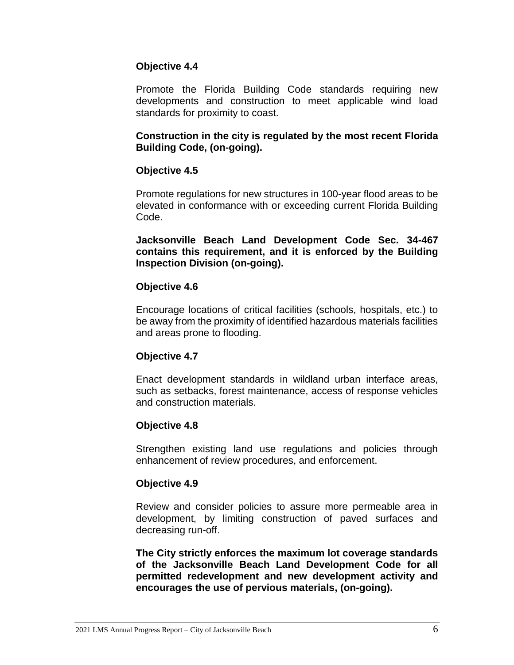# **Objective 4.4**

Promote the Florida Building Code standards requiring new developments and construction to meet applicable wind load standards for proximity to coast.

# **Construction in the city is regulated by the most recent Florida Building Code, (on-going).**

# **Objective 4.5**

Promote regulations for new structures in 100-year flood areas to be elevated in conformance with or exceeding current Florida Building Code.

**Jacksonville Beach Land Development Code Sec. 34-467 contains this requirement, and it is enforced by the Building Inspection Division (on-going).**

# **Objective 4.6**

Encourage locations of critical facilities (schools, hospitals, etc.) to be away from the proximity of identified hazardous materials facilities and areas prone to flooding.

# **Objective 4.7**

Enact development standards in wildland urban interface areas, such as setbacks, forest maintenance, access of response vehicles and construction materials.

# **Objective 4.8**

Strengthen existing land use regulations and policies through enhancement of review procedures, and enforcement.

# **Objective 4.9**

Review and consider policies to assure more permeable area in development, by limiting construction of paved surfaces and decreasing run-off.

**The City strictly enforces the maximum lot coverage standards of the Jacksonville Beach Land Development Code for all permitted redevelopment and new development activity and encourages the use of pervious materials, (on-going).**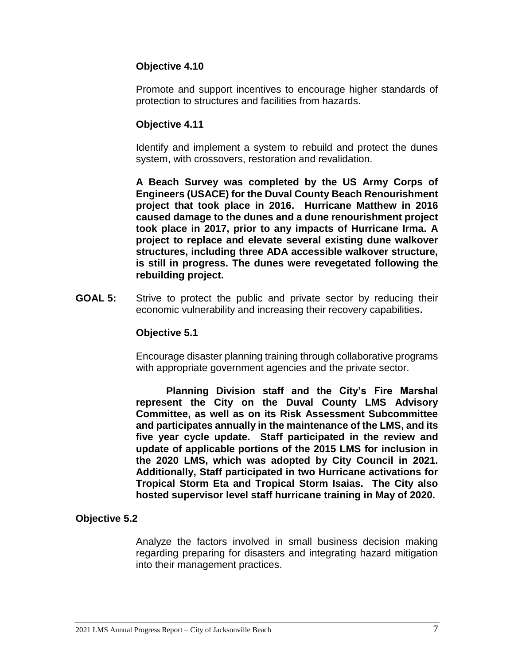# **Objective 4.10**

Promote and support incentives to encourage higher standards of protection to structures and facilities from hazards.

#### **Objective 4.11**

Identify and implement a system to rebuild and protect the dunes system, with crossovers, restoration and revalidation.

**A Beach Survey was completed by the US Army Corps of Engineers (USACE) for the Duval County Beach Renourishment project that took place in 2016. Hurricane Matthew in 2016 caused damage to the dunes and a dune renourishment project took place in 2017, prior to any impacts of Hurricane Irma. A project to replace and elevate several existing dune walkover structures, including three ADA accessible walkover structure, is still in progress. The dunes were revegetated following the rebuilding project.**

**GOAL 5:** Strive to protect the public and private sector by reducing their economic vulnerability and increasing their recovery capabilities**.**

#### **Objective 5.1**

Encourage disaster planning training through collaborative programs with appropriate government agencies and the private sector.

**Planning Division staff and the City's Fire Marshal represent the City on the Duval County LMS Advisory Committee, as well as on its Risk Assessment Subcommittee and participates annually in the maintenance of the LMS, and its five year cycle update. Staff participated in the review and update of applicable portions of the 2015 LMS for inclusion in the 2020 LMS, which was adopted by City Council in 2021. Additionally, Staff participated in two Hurricane activations for Tropical Storm Eta and Tropical Storm Isaias. The City also hosted supervisor level staff hurricane training in May of 2020.**

# **Objective 5.2**

Analyze the factors involved in small business decision making regarding preparing for disasters and integrating hazard mitigation into their management practices.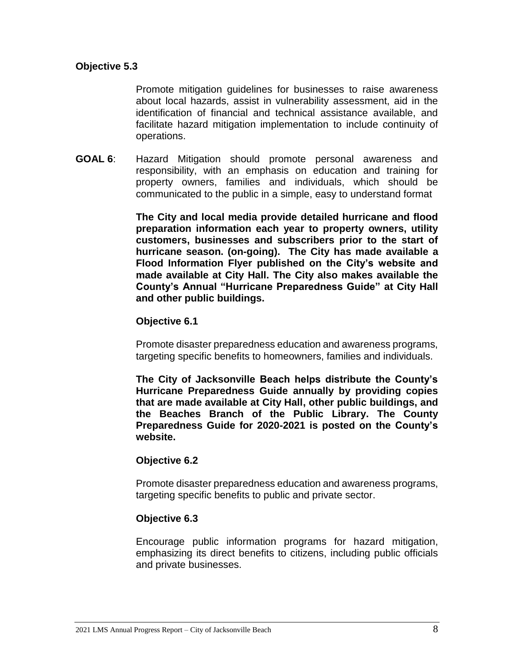# **Objective 5.3**

Promote mitigation guidelines for businesses to raise awareness about local hazards, assist in vulnerability assessment, aid in the identification of financial and technical assistance available, and facilitate hazard mitigation implementation to include continuity of operations.

**GOAL 6**: Hazard Mitigation should promote personal awareness and responsibility, with an emphasis on education and training for property owners, families and individuals, which should be communicated to the public in a simple, easy to understand format

> **The City and local media provide detailed hurricane and flood preparation information each year to property owners, utility customers, businesses and subscribers prior to the start of hurricane season. (on-going). The City has made available a Flood Information Flyer published on the City's website and made available at City Hall. The City also makes available the County's Annual "Hurricane Preparedness Guide" at City Hall and other public buildings.**

#### **Objective 6.1**

Promote disaster preparedness education and awareness programs, targeting specific benefits to homeowners, families and individuals.

**The City of Jacksonville Beach helps distribute the County's Hurricane Preparedness Guide annually by providing copies that are made available at City Hall, other public buildings, and the Beaches Branch of the Public Library. The County Preparedness Guide for 2020-2021 is posted on the County's website.** 

# **Objective 6.2**

Promote disaster preparedness education and awareness programs, targeting specific benefits to public and private sector.

# **Objective 6.3**

Encourage public information programs for hazard mitigation, emphasizing its direct benefits to citizens, including public officials and private businesses.